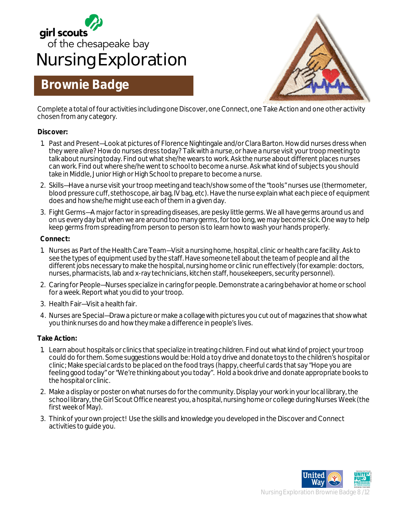

## **Brownie Badge**



Complete a total of four activities including one Discover, one Connect, one Take Action and one other activity chosen from any category.

#### **Discover:**

- 1. Past and Present—Look at pictures of Florence Nightingale and/or Clara Barton. How did nurses dress when they were alive? How do nurses dress today? Talk with a nurse, or have a nurse visit your troop meeting to talk about nursing today. Find out what she/he wears to work. Ask the nurse about different places nurses can work. Find out where she/he went to school to become a nurse. Ask what kind of subjects you should take in Middle, Junior High or High School to prepare to become a nurse.
- 2. Skills—Have a nurse visit your troop meeting and teach/show some of the "tools" nurses use (thermometer, blood pressure cuff, stethoscope, air bag, IV bag, etc). Have the nurse explain what each piece of equipment does and how she/he might use each of them in a given day.
- 3. Fight Germs—A major factor in spreading diseases, are pesky little germs. We all have germs around us and on us every day but when we are around too many germs, for too long, we may become sick. One way to help keep germs from spreading from person to person is to learn how to wash your hands properly.

#### **Connect:**

- 1. Nurses as Part of the Health Care Team—Visit a nursing home, hospital, clinic or health care facility. Ask to see the types of equipment used by the staff. Have someone tell about the team of people and all the different jobs necessary to make the hospital, nursing home or clinic run effectively (for example: doctors, nurses, pharmacists, lab and x-ray technicians, kitchen staff, housekeepers, security personnel).
- 2. Caring for People—Nurses specialize in caring for people. Demonstrate a caring behavior at home or school for a week. Report what you did to your troop.
- 3. Health Fair—Visit a health fair.
- 4. Nurses are Special—Draw a picture or make a collage with pictures you cut out of magazines that show what you think nurses do and how they make a difference in people's lives.

#### **Take Action:**

- 1. Learn about hospitals or clinics that specialize in treating children. Find out what kind of project your troop could do for them. Some suggestions would be: Hold a toy drive and donate toys to the children's hospital or clinic; Make special cards to be placed on the food trays (happy, cheerful cards that say "Hope you are feeling good today" or "We're thinking about you today". Hold a book drive and donate appropriate books to the hospital or clinic.
- 2. Make a display or poster on what nurses do for the community. Display your work in your local library, the school library, the Girl Scout Office nearest you, a hospital, nursing home or college during Nurses Week (the first week of May).
- 3. Think of your own project! Use the skills and knowledge you developed in the Discover and Connect activities to guide you.

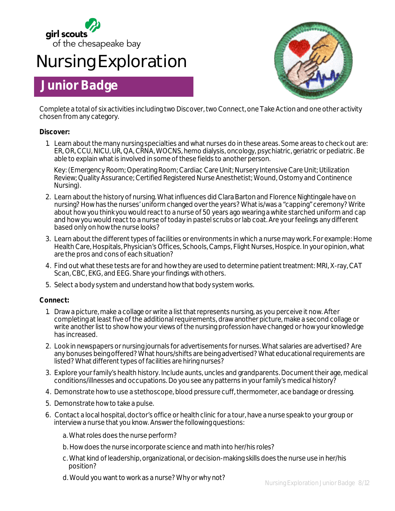

## **Nursing Exploration**

### **Junior Badge**



Complete a total of six activities including two Discover, two Connect, one Take Action and one other activity chosen from any category.

#### **Discover:**

1. Learn about the many nursing specialties and what nurses do in these areas. Some areas to check out are: ER, OR, CCU, NICU, UR, QA, CRNA, WOCNS, hemo dialysis, oncology, psychiatric, geriatric or pediatric. Be able to explain what is involved in some of these fields to another person.

Key: (Emergency Room; Operating Room; Cardiac Care Unit; Nursery Intensive Care Unit; Utilization Review; Quality Assurance; Certified Registered Nurse Anesthetist; Wound, Ostomy and Continence Nursing).

- 2. Learn about the history of nursing. What influences did Clara Barton and Florence Nightingale have on nursing? How has the nurses' uniform changed over the years? What is/was a "capping" ceremony? Write about how you think you would react to a nurse of 50 years ago wearing a white starched uniform and cap and how you would react to a nurse of today in pastel scrubs or lab coat. Are your feelings any different based only on how the nurse looks?
- 3. Learn about the different types of facilities or environments in which a nurse may work. For example: Home Health Care, Hospitals, Physician's Offices, Schools, Camps, Flight Nurses, Hospice. In your opinion, what are the pros and cons of each situation?
- 4. Find out what these tests are for and how they are used to determine patient treatment: MRI, X-ray, CAT Scan, CBC, EKG, and EEG. Share your findings with others.
- 5. Select a body system and understand how that body system works.

#### **Connect:**

- 1. Draw a picture, make a collage or write a list that represents nursing, as you perceive it now. After completing at least five of the additional requirements, draw another picture, make a second collage or write another list to show how your views of the nursing profession have changed or how your knowledge has increased.
- 2. Look in newspapers or nursing journals for advertisements for nurses. What salaries are advertised? Are any bonuses being offered? What hours/shifts are being advertised? What educational requirements are listed? What different types of facilities are hiring nurses?
- 3. Explore your family's health history. Include aunts, uncles and grandparents. Document their age, medical conditions/illnesses and occupations. Do you see any patterns in your family's medical history?
- 4. Demonstrate how to use a stethoscope, blood pressure cuff, thermometer, ace bandage or dressing.
- 5. Demonstrate how to take a pulse.
- 6. Contact a local hospital, doctor's office or health clinic for a tour, have a nurse speak to your group or interview a nurse that you know. Answer the following questions:
	- a. What roles does the nurse perform?
	- b. How does the nurse incorporate science and math into her/his roles?
	- c. What kind of leadership, organizational, or decision-making skills does the nurse use in her/his position?
	- d. Would you want to work as a nurse? Why or why not?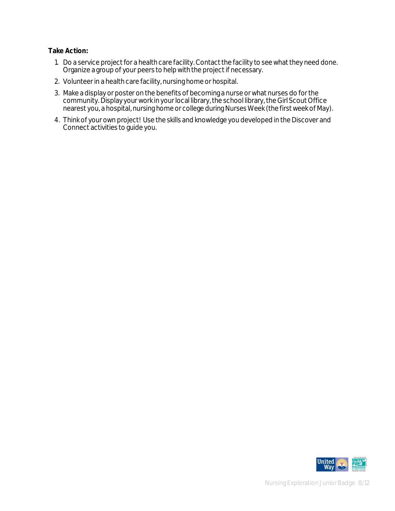#### **Take Action:**

- 1. Do a service project for a health care facility. Contact the facility to see what they need done. Organize a group of your peers to help with the project if necessary.
- 2. Volunteer in a health care facility, nursing home or hospital.
- 3. Make a display or poster on the benefits of becoming a nurse or what nurses do for the community. Display your work in your local library, the school library, the Girl Scout Office nearest you, a hospital, nursing home or college during Nurses Week (the first week of May).
- 4. Think of your own project! Use the skills and knowledge you developed in the Discover and Connect activities to guide you.

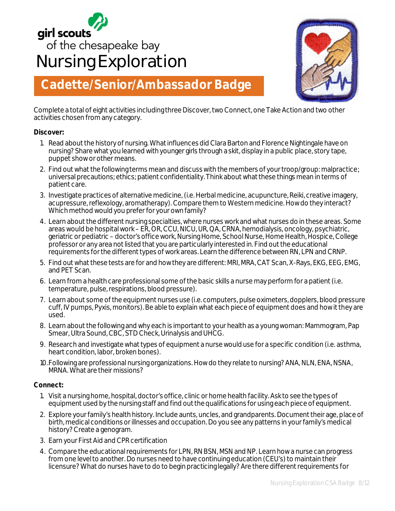# girl scouts<br>of the chesapeake bay **Nursing Exploration**



## **Cadette/Senior/Ambassador Badge**

Complete a total of eight activities including three Discover, two Connect, one Take Action and two other activities chosen from any category.

#### **Discover:**

- 1. Read about the history of nursing. What influences did Clara Barton and Florence Nightingale have on nursing? Share what you learned with younger girls through a skit, display in a public place, story tape, puppet show or other means.
- 2. Find out what the following terms mean and discuss with the members of your troop/group: malpractice; universal precautions; ethics; patient confidentiality. Think about what these things mean in terms of patient care.
- 3. Investigate practices of alternative medicine, (i.e. Herbal medicine, acupuncture, Reiki, creative imagery, acupressure, reflexology, aromatherapy). Compare them to Western medicine. How do they interact? Which method would you prefer for your own family?
- 4. Learn about the different nursing specialties, where nurses work and what nurses do in these areas. Some areas would be hospital work – ER, OR, CCU, NICU, UR, QA, CRNA, hemodialysis, oncology, psychiatric, geriatric or pediatric – doctor's office work, Nursing Home, School Nurse, Home Health, Hospice, College professor or any area not listed that you are particularly interested in. Find out the educational requirements for the different types of work areas. Learn the difference between RN, LPN and CRNP.
- 5. Find out what these tests are for and how they are different: MRI, MRA, CAT Scan, X-Rays, EKG, EEG, EMG, and PET Scan.
- 6. Learn from a health care professional some of the basic skills a nurse may perform for a patient (i.e. temperature, pulse, respirations, blood pressure).
- 7. Learn about some of the equipment nurses use (i.e. computers, pulse oximeters, dopplers, blood pressure cuff, IV pumps, Pyxis, monitors). Be able to explain what each piece of equipment does and how it they are used.
- 8. Learn about the following and why each is important to your health as a young woman: Mammogram, Pap Smear, Ultra Sound, CBC, STD Check, Urinalysis and UHCG.
- 9. Research and investigate what types of equipment a nurse would use for a specific condition (i.e. asthma, heart condition, labor, broken bones).
- 10.Following are professional nursing organizations. How do they relate to nursing? ANA, NLN, ENA, NSNA, MRNA. What are their missions?

#### **Connect:**

- 1. Visit a nursing home, hospital, doctor's office, clinic or home health facility. Ask to see the types of equipment used by the nursing staff and find out the qualifications for using each piece of equipment.
- 2. Explore your family's health history. Include aunts, uncles, and grandparents. Document their age, place of birth, medical conditions or illnesses and occupation. Do you see any patterns in your family's medical history? Create a genogram.
- 3. Earn your First Aid and CPR certification
- 4. Compare the educational requirements for LPN, RN BSN, MSN and NP. Learn how a nurse can progress from one level to another. Do nurses need to have continuing education (CEU's) to maintain their licensure? What do nurses have to do to begin practicing legally? Are there different requirements for